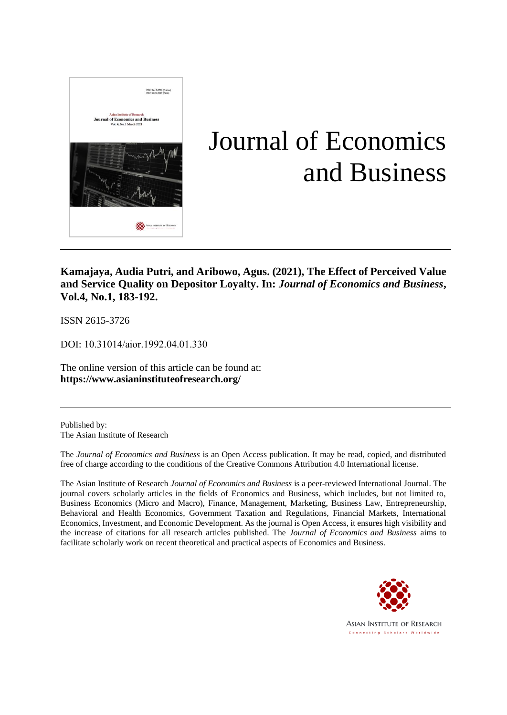

# Journal of Economics and Business

**Kamajaya, Audia Putri, and Aribowo, Agus. (2021), The Effect of Perceived Value and Service Quality on Depositor Loyalty. In:** *Journal of Economics and Business***, Vol.4, No.1, 183-192.**

ISSN 2615-3726

DOI: 10.31014/aior.1992.04.01.330

The online version of this article can be found at: **https://www.asianinstituteofresearch.org/**

Published by: The Asian Institute of Research

The *Journal of Economics and Business* is an Open Access publication. It may be read, copied, and distributed free of charge according to the conditions of the Creative Commons Attribution 4.0 International license.

The Asian Institute of Research *Journal of Economics and Business* is a peer-reviewed International Journal. The journal covers scholarly articles in the fields of Economics and Business, which includes, but not limited to, Business Economics (Micro and Macro), Finance, Management, Marketing, Business Law, Entrepreneurship, Behavioral and Health Economics, Government Taxation and Regulations, Financial Markets, International Economics, Investment, and Economic Development. As the journal is Open Access, it ensures high visibility and the increase of citations for all research articles published. The *Journal of Economics and Business* aims to facilitate scholarly work on recent theoretical and practical aspects of Economics and Business.



ASIAN INSTITUTE OF RESEARCH Connecting Scholars Worldwide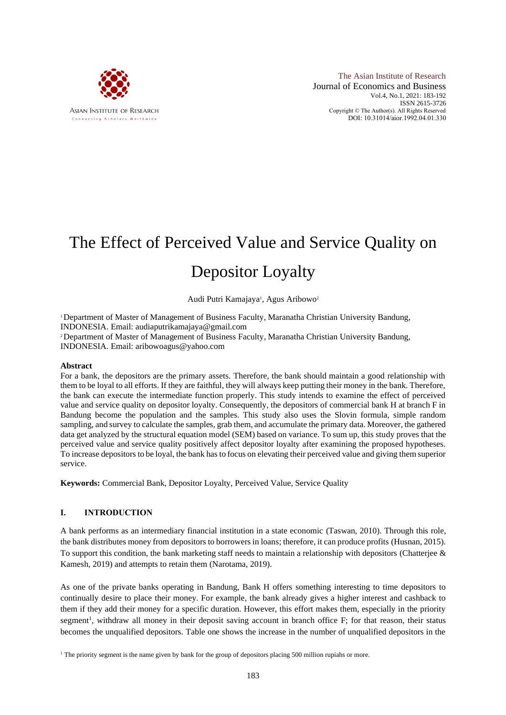

The Asian Institute of Research Journal of Economics and Business Vol.4, No.1, 2021: 183-192 ISSN 2615-3726 Copyright © The Author(s). All Rights Reserved DOI: 10.31014/aior.1992.04.01.330

# The Effect of Perceived Value and Service Quality on Depositor Loyalty

# Audi Putri Kamajaya<sup>1</sup>, Agus Aribowo<sup>2</sup>

<sup>1</sup>Department of Master of Management of Business Faculty, Maranatha Christian University Bandung, INDONESIA. Email: audiaputrikamajaya@gmail.com

<sup>2</sup>Department of Master of Management of Business Faculty, Maranatha Christian University Bandung, INDONESIA. Email: aribowoagus@yahoo.com

## **Abstract**

For a bank, the depositors are the primary assets. Therefore, the bank should maintain a good relationship with them to be loyal to all efforts. If they are faithful, they will always keep putting their money in the bank. Therefore, the bank can execute the intermediate function properly. This study intends to examine the effect of perceived value and service quality on depositor loyalty. Consequently, the depositors of commercial bank H at branch F in Bandung become the population and the samples. This study also uses the Slovin formula, simple random sampling, and survey to calculate the samples, grab them, and accumulate the primary data. Moreover, the gathered data get analyzed by the structural equation model (SEM) based on variance. To sum up, this study proves that the perceived value and service quality positively affect depositor loyalty after examining the proposed hypotheses. To increase depositors to be loyal, the bank has to focus on elevating their perceived value and giving them superior service.

**Keywords:** Commercial Bank, Depositor Loyalty, Perceived Value, Service Quality

## **I. INTRODUCTION**

A bank performs as an intermediary financial institution in a state economic (Taswan, 2010). Through this role, the bank distributes money from depositors to borrowers in loans; therefore, it can produce profits (Husnan, 2015). To support this condition, the bank marketing staff needs to maintain a relationship with depositors (Chatterjee  $\&$ Kamesh, 2019) and attempts to retain them (Narotama, 2019).

As one of the private banks operating in Bandung, Bank H offers something interesting to time depositors to continually desire to place their money. For example, the bank already gives a higher interest and cashback to them if they add their money for a specific duration. However, this effort makes them, especially in the priority segment<sup>1</sup>, withdraw all money in their deposit saving account in branch office F; for that reason, their status becomes the unqualified depositors. Table one shows the increase in the number of unqualified depositors in the

<sup>&</sup>lt;sup>1</sup> The priority segment is the name given by bank for the group of depositors placing 500 million rupiahs or more.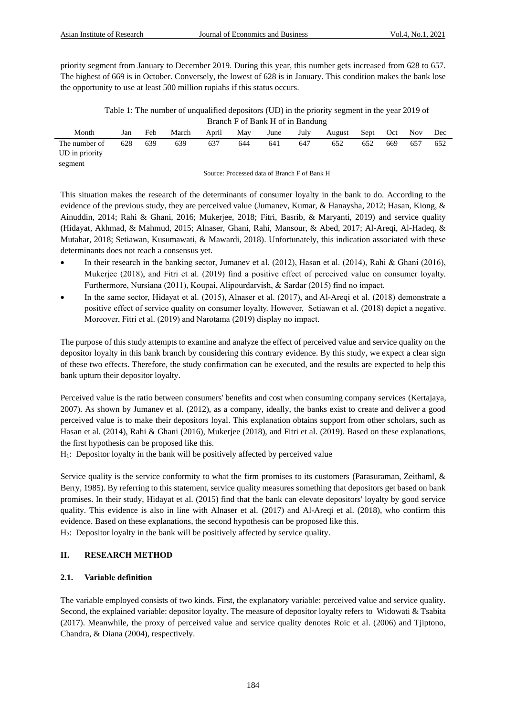priority segment from January to December 2019. During this year, this number gets increased from 628 to 657. The highest of 669 is in October. Conversely, the lowest of 628 is in January. This condition makes the bank lose the opportunity to use at least 500 million rupiahs if this status occurs.

Table 1: The number of unqualified depositors (UD) in the priority segment in the year 2019 of Branch F of Bank H of in Bandung

| Month          | Jan | Feb | March | April | May | June | July | August | Sept | Oct | <b>Nov</b> | Dec |
|----------------|-----|-----|-------|-------|-----|------|------|--------|------|-----|------------|-----|
| The number of  | 628 | 639 | 639   | 637   | 644 | 641  | 647  | 652    | 652  | 669 | 657        | 652 |
| UD in priority |     |     |       |       |     |      |      |        |      |     |            |     |
| segment        |     |     |       |       |     |      |      |        |      |     |            |     |

Source: Processed data of Branch F of Bank H

This situation makes the research of the determinants of consumer loyalty in the bank to do. According to the evidence of the previous study, they are perceived value (Jumanev, Kumar, & Hanaysha, 2012; Hasan, Kiong, & Ainuddin, 2014; Rahi & Ghani, 2016; Mukerjee, 2018; Fitri, Basrib, & Maryanti, 2019) and service quality (Hidayat, Akhmad, & Mahmud, 2015; Alnaser, Ghani, Rahi, Mansour, & Abed, 2017; Al-Areqi, Al-Hadeq, & Mutahar, 2018; Setiawan, Kusumawati, & Mawardi, 2018). Unfortunately, this indication associated with these determinants does not reach a consensus yet.

- In their research in the banking sector, Jumanev et al. (2012), Hasan et al. (2014), Rahi & Ghani (2016), Mukerjee (2018), and Fitri et al. (2019) find a positive effect of perceived value on consumer loyalty. Furthermore, Nursiana (2011), Koupai, Alipourdarvish, & Sardar (2015) find no impact.
- In the same sector, Hidayat et al. (2015), Alnaser et al. (2017), and Al-Areqi et al. (2018) demonstrate a positive effect of service quality on consumer loyalty. However, Setiawan et al. (2018) depict a negative. Moreover, Fitri et al. (2019) and Narotama (2019) display no impact.

The purpose of this study attempts to examine and analyze the effect of perceived value and service quality on the depositor loyalty in this bank branch by considering this contrary evidence. By this study, we expect a clear sign of these two effects. Therefore, the study confirmation can be executed, and the results are expected to help this bank upturn their depositor loyalty.

Perceived value is the ratio between consumers' benefits and cost when consuming company services (Kertajaya, 2007). As shown by Jumanev et al. (2012), as a company, ideally, the banks exist to create and deliver a good perceived value is to make their depositors loyal. This explanation obtains support from other scholars, such as Hasan et al. (2014), Rahi & Ghani (2016), Mukerjee (2018), and Fitri et al. (2019). Based on these explanations, the first hypothesis can be proposed like this.

 $H_1$ : Depositor loyalty in the bank will be positively affected by perceived value

Service quality is the service conformity to what the firm promises to its customers (Parasuraman, Zeithaml, & Berry, 1985). By referring to this statement, service quality measures something that depositors get based on bank promises. In their study, Hidayat et al. (2015) find that the bank can elevate depositors' loyalty by good service quality. This evidence is also in line with Alnaser et al. (2017) and Al-Areqi et al. (2018), who confirm this evidence. Based on these explanations, the second hypothesis can be proposed like this. H2: Depositor loyalty in the bank will be positively affected by service quality.

# **II. RESEARCH METHOD**

## **2.1. Variable definition**

The variable employed consists of two kinds. First, the explanatory variable: perceived value and service quality. Second, the explained variable: depositor loyalty. The measure of depositor loyalty refers to Widowati & Tsabita (2017). Meanwhile, the proxy of perceived value and service quality denotes Roic et al. (2006) and Tjiptono, Chandra, & Diana (2004), respectively.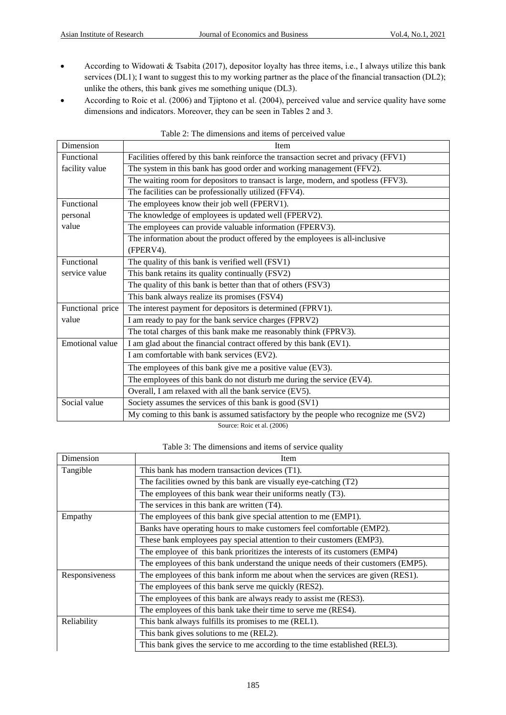- According to Widowati & Tsabita (2017), depositor loyalty has three items, i.e., I always utilize this bank services (DL1); I want to suggest this to my working partner as the place of the financial transaction (DL2); unlike the others, this bank gives me something unique (DL3).
- According to Roic et al. (2006) and Tjiptono et al. (2004), perceived value and service quality have some dimensions and indicators. Moreover, they can be seen in Tables 2 and 3.

| Dimension        | Item                                                                                |
|------------------|-------------------------------------------------------------------------------------|
| Functional       | Facilities offered by this bank reinforce the transaction secret and privacy (FFV1) |
| facility value   | The system in this bank has good order and working management (FFV2).               |
|                  | The waiting room for depositors to transact is large, modern, and spotless (FFV3).  |
|                  | The facilities can be professionally utilized (FFV4).                               |
| Functional       | The employees know their job well (FPERV1).                                         |
| personal         | The knowledge of employees is updated well (FPERV2).                                |
| value            | The employees can provide valuable information (FPERV3).                            |
|                  | The information about the product offered by the employees is all-inclusive         |
|                  | (FPERV4).                                                                           |
| Functional       | The quality of this bank is verified well (FSV1)                                    |
| service value    | This bank retains its quality continually (FSV2)                                    |
|                  | The quality of this bank is better than that of others (FSV3)                       |
|                  | This bank always realize its promises (FSV4)                                        |
| Functional price | The interest payment for depositors is determined (FPRV1).                          |
| value            | I am ready to pay for the bank service charges (FPRV2)                              |
|                  | The total charges of this bank make me reasonably think (FPRV3).                    |
| Emotional value  | I am glad about the financial contract offered by this bank (EV1).                  |
|                  | I am comfortable with bank services (EV2).                                          |
|                  | The employees of this bank give me a positive value (EV3).                          |
|                  | The employees of this bank do not disturb me during the service (EV4).              |
|                  | Overall, I am relaxed with all the bank service (EV5).                              |
| Social value     | Society assumes the services of this bank is good (SV1)                             |
|                  | My coming to this bank is assumed satisfactory by the people who recognize me (SV2) |
|                  | Source: Roic et al. (2006)                                                          |

## Table 2: The dimensions and items of perceived value

Table 3: The dimensions and items of service quality

| Dimension      | Item                                                                              |
|----------------|-----------------------------------------------------------------------------------|
| Tangible       | This bank has modern transaction devices (T1).                                    |
|                | The facilities owned by this bank are visually eye-catching (T2)                  |
|                | The employees of this bank wear their uniforms neatly (T3).                       |
|                | The services in this bank are written (T4).                                       |
| Empathy        | The employees of this bank give special attention to me (EMP1).                   |
|                | Banks have operating hours to make customers feel comfortable (EMP2).             |
|                | These bank employees pay special attention to their customers (EMP3).             |
|                | The employee of this bank prioritizes the interests of its customers (EMP4)       |
|                | The employees of this bank understand the unique needs of their customers (EMP5). |
| Responsiveness | The employees of this bank inform me about when the services are given (RES1).    |
|                | The employees of this bank serve me quickly (RES2).                               |
|                | The employees of this bank are always ready to assist me (RES3).                  |
|                | The employees of this bank take their time to serve me (RES4).                    |
| Reliability    | This bank always fulfills its promises to me (REL1).                              |
|                | This bank gives solutions to me (REL2).                                           |
|                | This bank gives the service to me according to the time established (REL3).       |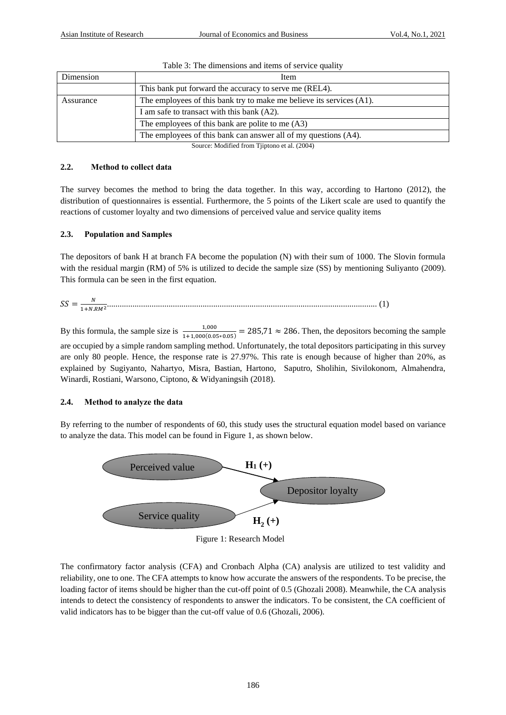| Dimension | Item                                                                 |
|-----------|----------------------------------------------------------------------|
|           | This bank put forward the accuracy to serve me (REL4).               |
| Assurance | The employees of this bank try to make me believe its services (A1). |
|           | I am safe to transact with this bank (A2).                           |
|           | The employees of this bank are polite to me (A3)                     |
|           | The employees of this bank can answer all of my questions (A4).      |

|  |  |  |  | Table 3: The dimensions and items of service quality |  |
|--|--|--|--|------------------------------------------------------|--|
|  |  |  |  |                                                      |  |

Source: Modified from Tjiptono et al. (2004)

## **2.2. Method to collect data**

The survey becomes the method to bring the data together. In this way, according to Hartono (2012), the distribution of questionnaires is essential. Furthermore, the 5 points of the Likert scale are used to quantify the reactions of customer loyalty and two dimensions of perceived value and service quality items

# **2.3. Population and Samples**

The depositors of bank H at branch FA become the population (N) with their sum of 1000. The Slovin formula with the residual margin (RM) of 5% is utilized to decide the sample size (SS) by mentioning Suliyanto (2009). This formula can be seen in the first equation.

$$
SS = \frac{N}{1 + N.RM^2} \tag{1}
$$

By this formula, the sample size is  $\frac{1,000}{1+1,000(0.05*0.05)} = 285.71 \approx 286$ . Then, the depositors becoming the sample are occupied by a simple random sampling method. Unfortunately, the total depositors participating in this survey are only 80 people. Hence, the response rate is 27.97%. This rate is enough because of higher than 20%, as explained by Sugiyanto, Nahartyo, Misra, Bastian, Hartono, Saputro, Sholihin, Sivilokonom, Almahendra, Winardi, Rostiani, Warsono, Ciptono, & Widyaningsih (2018).

# **2.4. Method to analyze the data**

By referring to the number of respondents of 60, this study uses the structural equation model based on variance to analyze the data. This model can be found in Figure 1, as shown below.



Figure 1: Research Model

The confirmatory factor analysis (CFA) and Cronbach Alpha (CA) analysis are utilized to test validity and reliability, one to one. The CFA attempts to know how accurate the answers of the respondents. To be precise, the loading factor of items should be higher than the cut-off point of 0.5 (Ghozali 2008). Meanwhile, the CA analysis intends to detect the consistency of respondents to answer the indicators. To be consistent, the CA coefficient of valid indicators has to be bigger than the cut-off value of 0.6 (Ghozali, 2006).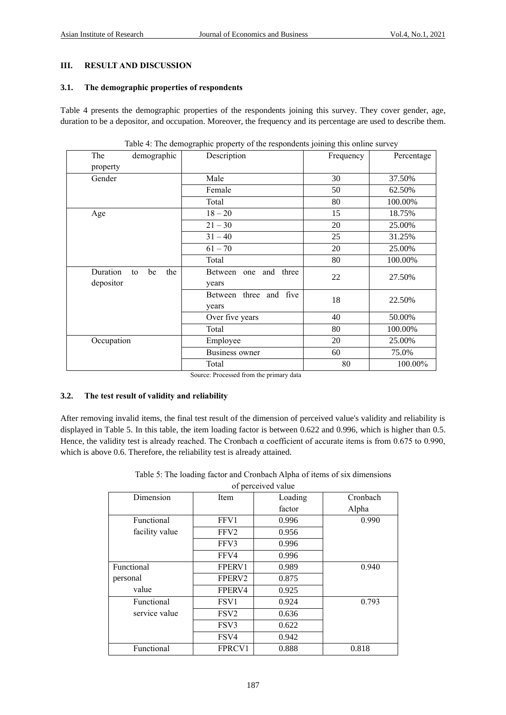# **III. RESULT AND DISCUSSION**

#### **3.1. The demographic properties of respondents**

Table 4 presents the demographic properties of the respondents joining this survey. They cover gender, age, duration to be a depositor, and occupation. Moreover, the frequency and its percentage are used to describe them.

| demographic<br>The          | Description            | Frequency | Percentage |
|-----------------------------|------------------------|-----------|------------|
| property                    |                        |           |            |
| Gender                      | Male                   | 30        | 37.50%     |
|                             | Female                 | 50        | 62.50%     |
|                             | Total                  | 80        | 100.00%    |
| Age                         | $18 - 20$              | 15        | 18.75%     |
|                             | $21 - 30$              | 20        | 25.00%     |
|                             | $31 - 40$              | 25        | 31.25%     |
|                             | $61 - 70$              | 20        | 25.00%     |
|                             | Total                  | 80        | 100.00%    |
| Duration<br>the<br>be<br>to | Between one and three  | 22        | 27.50%     |
| depositor                   | years                  |           |            |
|                             | Between three and five | 18        | 22.50%     |
|                             | years                  |           |            |
|                             | Over five years        | 40        | 50.00%     |
|                             | Total                  | 80        | 100.00%    |
| Occupation                  | Employee               | 20        | 25.00%     |
|                             | <b>Business owner</b>  | 60        | 75.0%      |
|                             | Total                  | 80        | 100.00%    |

Table 4: The demographic property of the respondents joining this online survey

Source: Processed from the primary data

## **3.2. The test result of validity and reliability**

After removing invalid items, the final test result of the dimension of perceived value's validity and reliability is displayed in Table 5. In this table, the item loading factor is between 0.622 and 0.996, which is higher than 0.5. Hence, the validity test is already reached. The Cronbach  $\alpha$  coefficient of accurate items is from 0.675 to 0.990, which is above 0.6. Therefore, the reliability test is already attained.

| Dimension      | Item             | Loading | Cronbach |
|----------------|------------------|---------|----------|
|                |                  | factor  | Alpha    |
| Functional     | FFV1             | 0.996   | 0.990    |
| facility value | FFV <sub>2</sub> | 0.956   |          |
|                | FFV3             | 0.996   |          |
|                | FFV4             | 0.996   |          |
| Functional     | FPERV1           | 0.989   | 0.940    |
| personal       | FPERV2           | 0.875   |          |
| value          | FPERV4           | 0.925   |          |
| Functional     | FSV <sub>1</sub> | 0.924   | 0.793    |
| service value  | FSV <sub>2</sub> | 0.636   |          |
|                | FSV3             | 0.622   |          |
|                | FSV4             | 0.942   |          |
| Functional     | FPRCV1           | 0.888   | 0.818    |

Table 5: The loading factor and Cronbach Alpha of items of six dimensions of perceived value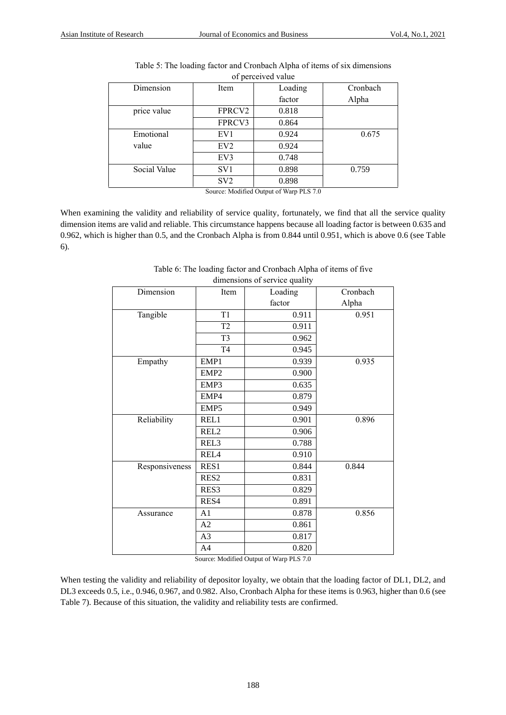| Item            | Loading | Cronbach |
|-----------------|---------|----------|
|                 | factor  | Alpha    |
| FPRCV2          | 0.818   |          |
| FPRCV3          | 0.864   |          |
| EV1             | 0.924   | 0.675    |
| EV <sub>2</sub> | 0.924   |          |
| EV3             | 0.748   |          |
| SV <sub>1</sub> | 0.898   | 0.759    |
| SV <sub>2</sub> | 0.898   |          |
|                 |         |          |

| Table 5: The loading factor and Cronbach Alpha of items of six dimensions |
|---------------------------------------------------------------------------|
| of perceived value                                                        |

Source: Modified Output of Warp PLS 7.0

When examining the validity and reliability of service quality, fortunately, we find that all the service quality dimension items are valid and reliable. This circumstance happens because all loading factor is between 0.635 and 0.962, which is higher than 0.5, and the Cronbach Alpha is from 0.844 until 0.951, which is above 0.6 (see Table 6).

| Dimension      | Item             | Loading | Cronbach |
|----------------|------------------|---------|----------|
|                |                  | factor  | Alpha    |
| Tangible       | T1               | 0.911   | 0.951    |
|                | T <sub>2</sub>   | 0.911   |          |
|                | T <sub>3</sub>   | 0.962   |          |
|                | T <sub>4</sub>   | 0.945   |          |
| Empathy        | EMP1             | 0.939   | 0.935    |
|                | EMP <sub>2</sub> | 0.900   |          |
|                | EMP3             | 0.635   |          |
|                | EMP4             | 0.879   |          |
|                | EMP5             | 0.949   |          |
| Reliability    | REL1             | 0.901   | 0.896    |
|                | REL <sub>2</sub> | 0.906   |          |
|                | REL <sub>3</sub> | 0.788   |          |
|                | REL <sub>4</sub> | 0.910   |          |
| Responsiveness | RES1             | 0.844   | 0.844    |
|                | RES <sub>2</sub> | 0.831   |          |
|                | RES3             | 0.829   |          |
|                | RES4             | 0.891   |          |
| Assurance      | A1               | 0.878   | 0.856    |
|                | A2               | 0.861   |          |
|                | A3               | 0.817   |          |
|                | A4               | 0.820   |          |

Table 6: The loading factor and Cronbach Alpha of items of five dimensions of service quality

Source: Modified Output of Warp PLS 7.0

When testing the validity and reliability of depositor loyalty, we obtain that the loading factor of DL1, DL2, and DL3 exceeds 0.5, i.e., 0.946, 0.967, and 0.982. Also, Cronbach Alpha for these items is 0.963, higher than 0.6 (see Table 7). Because of this situation, the validity and reliability tests are confirmed.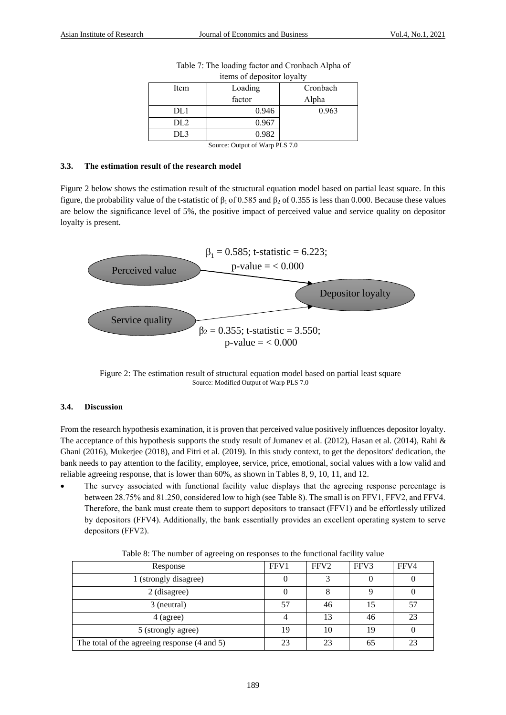|      | items of depositor loyalty |          |
|------|----------------------------|----------|
| Item | Loading                    | Cronbach |
|      | factor                     | Alpha    |
| DL1  | 0.946                      | 0.963    |
|      |                            |          |

| Table 7: The loading factor and Cronbach Alpha of |
|---------------------------------------------------|
| items of depositor loyalty                        |

Source: Output of Warp PLS 7.0

DL3 0.982

## **3.3. The estimation result of the research model**

Figure 2 below shows the estimation result of the structural equation model based on partial least square. In this figure, the probability value of the t-statistic of  $β_1$  of 0.585 and  $β_2$  of 0.355 is less than 0.000. Because these values are below the significance level of 5%, the positive impact of perceived value and service quality on depositor loyalty is present.



Figure 2: The estimation result of structural equation model based on partial least square Source: Modified Output of Warp PLS 7.0

# **3.4. Discussion**

From the research hypothesis examination, it is proven that perceived value positively influences depositor loyalty. The acceptance of this hypothesis supports the study result of Jumanev et al. (2012), Hasan et al. (2014), Rahi & Ghani (2016), Mukerjee (2018), and Fitri et al. (2019). In this study context, to get the depositors' dedication, the bank needs to pay attention to the facility, employee, service, price, emotional, social values with a low valid and reliable agreeing response, that is lower than 60%, as shown in Tables 8, 9, 10, 11, and 12.

The survey associated with functional facility value displays that the agreeing response percentage is between 28.75% and 81.250, considered low to high (see Table 8). The small is on FFV1, FFV2, and FFV4. Therefore, the bank must create them to support depositors to transact (FFV1) and be effortlessly utilized by depositors (FFV4). Additionally, the bank essentially provides an excellent operating system to serve depositors (FFV2).

| Response                                     | FFV1 | FFV <sub>2</sub> | FFV3 | FFV4 |
|----------------------------------------------|------|------------------|------|------|
| 1 (strongly disagree)                        |      |                  |      |      |
| 2 (disagree)                                 |      |                  |      |      |
| 3 (neutral)                                  | 57   | 46               | 15   | 57   |
| $4$ (agree)                                  |      | 13               | 46   | 23   |
| 5 (strongly agree)                           | 19   | 10               | 19   |      |
| The total of the agreeing response (4 and 5) | 23   | 23               | 65   | 23   |

Table 8: The number of agreeing on responses to the functional facility value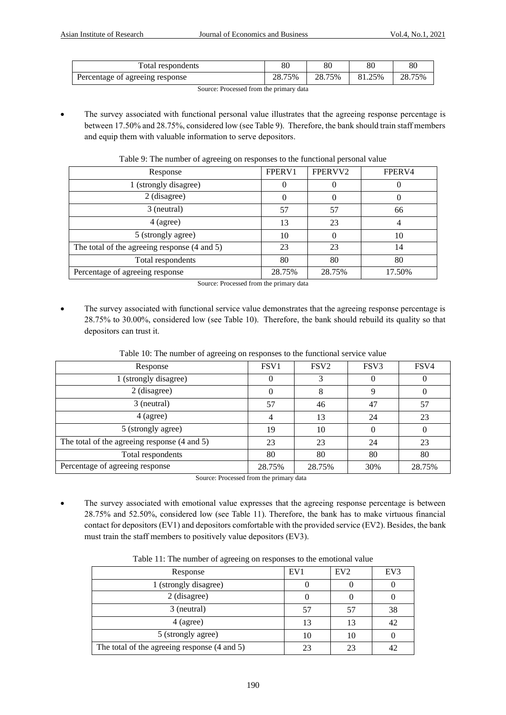| Total respondents               | 80     | 80     | 80     | 80     |
|---------------------------------|--------|--------|--------|--------|
| Percentage of agreeing response | 28.75% | 28.75% | 81.25% | 28.75% |

Source: Processed from the primary data

The survey associated with functional personal value illustrates that the agreeing response percentage is between 17.50% and 28.75%, considered low (see Table 9). Therefore, the bank should train staff members and equip them with valuable information to serve depositors.

|  |  |  |  |  | Table 9: The number of agreeing on responses to the functional personal value |  |
|--|--|--|--|--|-------------------------------------------------------------------------------|--|
|  |  |  |  |  |                                                                               |  |
|  |  |  |  |  |                                                                               |  |

| Response                                     | FPERV1   | FPERVV2 | FPERV4 |
|----------------------------------------------|----------|---------|--------|
| 1 (strongly disagree)                        |          |         |        |
| 2 (disagree)                                 | $\Omega$ |         |        |
| 3 (neutral)                                  | 57       | 57      | 66     |
| 4 (agree)                                    | 13       | 23      |        |
| 5 (strongly agree)                           | 10       |         | 10     |
| The total of the agreeing response (4 and 5) | 23       | 23      | 14     |
| Total respondents                            | 80       | 80      | 80     |
| Percentage of agreeing response              | 28.75%   | 28.75%  | 17.50% |

Source: Processed from the primary data

The survey associated with functional service value demonstrates that the agreeing response percentage is 28.75% to 30.00%, considered low (see Table 10). Therefore, the bank should rebuild its quality so that depositors can trust it.

| $\circ$                                      |                  |                  |                  |          |  |  |  |  |  |  |
|----------------------------------------------|------------------|------------------|------------------|----------|--|--|--|--|--|--|
| Response                                     | FSV <sub>1</sub> | FSV <sub>2</sub> | FSV <sub>3</sub> | FSV4     |  |  |  |  |  |  |
| 1 (strongly disagree)                        | $\Omega$         |                  | $\theta$         | $\theta$ |  |  |  |  |  |  |
| 2 (disagree)                                 | $\theta$         | 8                | 9                |          |  |  |  |  |  |  |
| 3 (neutral)                                  | 57               | 46               | 47               | 57       |  |  |  |  |  |  |
| $4$ (agree)                                  | 4                | 13               | 24               | 23       |  |  |  |  |  |  |
| 5 (strongly agree)                           | 19               | 10               | 0                | $\Omega$ |  |  |  |  |  |  |
| The total of the agreeing response (4 and 5) | 23               | 23               | 24               | 23       |  |  |  |  |  |  |
| Total respondents                            | 80               | 80               | 80               | 80       |  |  |  |  |  |  |
| Percentage of agreeing response              | 28.75%           | 28.75%           | 30%              | 28.75%   |  |  |  |  |  |  |
|                                              |                  |                  |                  |          |  |  |  |  |  |  |

Table 10: The number of agreeing on responses to the functional service value

Source: Processed from the primary data

The survey associated with emotional value expresses that the agreeing response percentage is between 28.75% and 52.50%, considered low (see Table 11). Therefore, the bank has to make virtuous financial contact for depositors (EV1) and depositors comfortable with the provided service (EV2). Besides, the bank must train the staff members to positively value depositors (EV3).

| Response                                     | EV1 | EV2 | EV3 |
|----------------------------------------------|-----|-----|-----|
| 1 (strongly disagree)                        |     |     |     |
| 2 (disagree)                                 |     |     |     |
| 3 (neutral)                                  |     |     | 38  |
| $4$ (agree)                                  | 13  | 13  | 42  |
| 5 (strongly agree)                           | 10  | 10  |     |
| The total of the agreeing response (4 and 5) |     | 23  |     |

Table 11: The number of agreeing on responses to the emotional value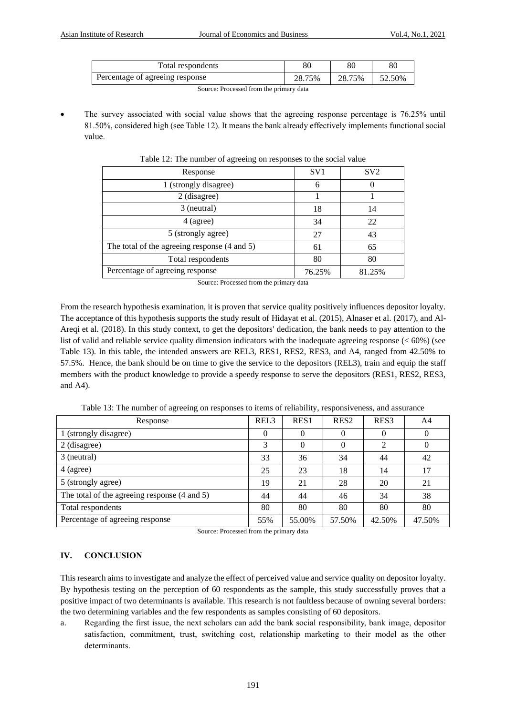| Percentage of agreeing response<br>28.75% | 28.75% | 52.50% |
|-------------------------------------------|--------|--------|

Source: Processed from the primary data

The survey associated with social value shows that the agreeing response percentage is 76.25% until 81.50%, considered high (see Table 12). It means the bank already effectively implements functional social value.

| Response                                     | SV <sub>1</sub> | SV2    |
|----------------------------------------------|-----------------|--------|
| 1 (strongly disagree)                        | 6               |        |
| 2 (disagree)                                 |                 |        |
| 3 (neutral)                                  | 18              | 14     |
| $4$ (agree)                                  | 34              | 22     |
| 5 (strongly agree)                           | 27              | 43     |
| The total of the agreeing response (4 and 5) | 61              | 65     |
| Total respondents                            | 80              | 80     |
| Percentage of agreeing response              | 76.25%          | 81.25% |

Table 12: The number of agreeing on responses to the social value

Source: Processed from the primary data

From the research hypothesis examination, it is proven that service quality positively influences depositor loyalty. The acceptance of this hypothesis supports the study result of Hidayat et al. (2015), Alnaser et al. (2017), and Al-Areqi et al. (2018). In this study context, to get the depositors' dedication, the bank needs to pay attention to the list of valid and reliable service quality dimension indicators with the inadequate agreeing response  $(< 60\%$ ) (see Table 13). In this table, the intended answers are REL3, RES1, RES2, RES3, and A4, ranged from 42.50% to 57.5%. Hence, the bank should be on time to give the service to the depositors (REL3), train and equip the staff members with the product knowledge to provide a speedy response to serve the depositors (RES1, RES2, RES3, and A4).

|  |  |  |  |  |  |  | Table 13: The number of agreeing on responses to items of reliability, responsiveness, and assurance |  |
|--|--|--|--|--|--|--|------------------------------------------------------------------------------------------------------|--|
|  |  |  |  |  |  |  |                                                                                                      |  |

| Response                                     | REL <sub>3</sub> | RES <sub>1</sub> | RES <sub>2</sub> | RES <sub>3</sub> | A4     |
|----------------------------------------------|------------------|------------------|------------------|------------------|--------|
| 1 (strongly disagree)                        | $\theta$         | $\theta$         | O                | O                |        |
| 2 (disagree)                                 | 3                |                  | $_{0}$           | $\mathfrak{D}$   |        |
| 3 (neutral)                                  | 33               | 36               | 34               | 44               | 42     |
| $4$ (agree)                                  | 25               | 23               | 18               | 14               | 17     |
| 5 (strongly agree)                           | 19               | 21               | 28               | 20               | 21     |
| The total of the agreeing response (4 and 5) | 44               | 44               | 46               | 34               | 38     |
| Total respondents                            | 80               | 80               | 80               | 80               | 80     |
| Percentage of agreeing response              | 55%              | 55.00%           | 57.50%           | 42.50%           | 47.50% |

Source: Processed from the primary data

# **IV. CONCLUSION**

This research aims to investigate and analyze the effect of perceived value and service quality on depositor loyalty. By hypothesis testing on the perception of 60 respondents as the sample, this study successfully proves that a positive impact of two determinants is available. This research is not faultless because of owning several borders: the two determining variables and the few respondents as samples consisting of 60 depositors.

a. Regarding the first issue, the next scholars can add the bank social responsibility, bank image, depositor satisfaction, commitment, trust, switching cost, relationship marketing to their model as the other determinants.